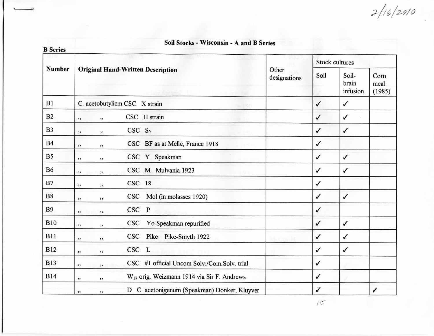$2/16/2010$ 

## **Soil Stocks - Wisconsin - A and B SeriesB Series**Stock culturesNumberOriginal Hand- Written Description**Other** SoilSoil-Corn designations brain meal (1985) infusionBlC. acetobutylicm CSC X strain//B2CSC H strain $\checkmark$  $\checkmark$  $,$  $, 2, 3$ B3CSC<sub>S9</sub> / $\checkmark$  $,$ B4CSC BF as at Melle, France 1918 $\checkmark$  $, 2$  $, 2, 3$ **B5** CSC Y Speakman $\checkmark$  $\checkmark$  $, 1$  $, 1$ B6/CSC M Mulvania 1923  $\checkmark$  $, 3, 5$  $, 3, 3$ CSC 18B7/ $,$  $, 1$ B8CSC Mol (in molasses 1920)// $, ,$  $, ,$ B9CSC P/ $, 2, 3$  $, 2, 3$ BIO", " CSC Yo Speakman repurified / $\checkmark$ BllCSC Pike Pike-Smyth 1922/ $\checkmark$  $, 1$  $, ,$ CSC LB12/ $\checkmark$  $, 2, 3$  $, 3, 3$ B13CSC #1 official Uncom Solv./Com.Solv. trial/ $, 3, 3$  $, 2, 3$ B14/", " W<sub>17</sub> orig. Weizmann 1914 via Sir F. Andrews /,, " D C. acetonigenum (Speakman) Donker, Kluyver $\checkmark$

 $15$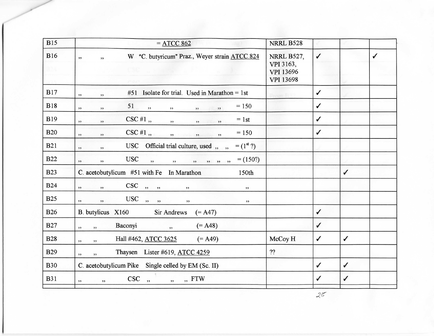| <b>B15</b>        | $=$ ATCC 862                                                                                   | NRRL B528                                                |              |              |              |
|-------------------|------------------------------------------------------------------------------------------------|----------------------------------------------------------|--------------|--------------|--------------|
| <b>B16</b><br>B.H | W "C. butyricum" Praz., Weyer strain ATCC 824<br>, 2, 3<br>, 2                                 | <b>NRRL B527,</b><br>VPI 3163,<br>VPI 13696<br>VPI 13698 | $\checkmark$ |              | $\checkmark$ |
| <b>B17</b>        | #51 Isolate for trial. Used in Marathon = 1st<br>, 2, 3<br>$, 2$                               |                                                          | $\checkmark$ |              |              |
| <b>B18</b>        | $= 150$<br>51<br>, ,<br>, 2, 3<br>, ,<br>, 2, 3<br>$, ,$<br>, 2, 3                             |                                                          | $\checkmark$ |              |              |
| <b>B19</b>        | $CSC$ #1,,<br>$= 1$ st<br>, 2<br>, 2, 3<br>$, 2$<br>, 2, 3<br>, 2, 3                           |                                                          | $\checkmark$ |              |              |
| <b>B20</b>        | $CSC \#1$ ,<br>$= 150$<br>, 2, 3<br>$\overline{\phantom{a}}$<br>, 2<br>, 2, 3<br>, 2           |                                                          | $\checkmark$ |              |              |
| <b>B21</b>        | $= (1^{\rm st} ?)$<br>USC Official trial culture, used, ,,,<br>, 2, 3<br>, 2                   |                                                          |              |              |              |
| <b>B22</b>        | <b>USC</b><br>$= (150?)$<br>, ,<br>$\overline{\phantom{a}}$<br>, ,<br>22 22 22<br>,,<br>, 2, 3 |                                                          |              |              |              |
| <b>B23</b>        | C. acetobutylicum #51 with Fe In Marathon<br>150th                                             |                                                          |              | ✓            |              |
| <b>B24</b>        | $\bf CSC$<br>, 3, 3, 3,<br>, ,<br>, 2, 3<br>, 2, 3<br>, 2, 3                                   |                                                          |              |              |              |
| <b>B25</b>        | USC<br>$\overline{\phantom{a}}$<br>, , ,<br>, 2, 3<br>, 2, 3<br>, 2, 3<br>, 2, 3               |                                                          |              |              |              |
| <b>B26</b>        | B. butylicus X160<br>Sir Andrews<br>$(= A47)$                                                  |                                                          | $\checkmark$ |              |              |
| <b>B27</b>        | Baconyi<br>$(= A48)$<br>, ,<br>,<br>, 2, 3                                                     |                                                          | $\checkmark$ |              |              |
| <b>B28</b>        | $(= A49)$<br>Hall #462, ATCC 3625<br>,<br>52                                                   | McCoy H                                                  | $\checkmark$ | ✓            |              |
| <b>B29</b>        | Thaysen Lister #619, ATCC 4259<br>, 3, 3<br>,,                                                 | ??                                                       |              |              |              |
| <b>B30</b>        | C. acetobutylicum Pike Single celled by EM (Sc. II)                                            |                                                          | $\checkmark$ | ✓            |              |
| <b>B31</b>        | CSC,<br>"FTW<br>, 2, 3<br>, 2, 3<br>, 2, 3                                                     |                                                          | $\checkmark$ | $\checkmark$ |              |